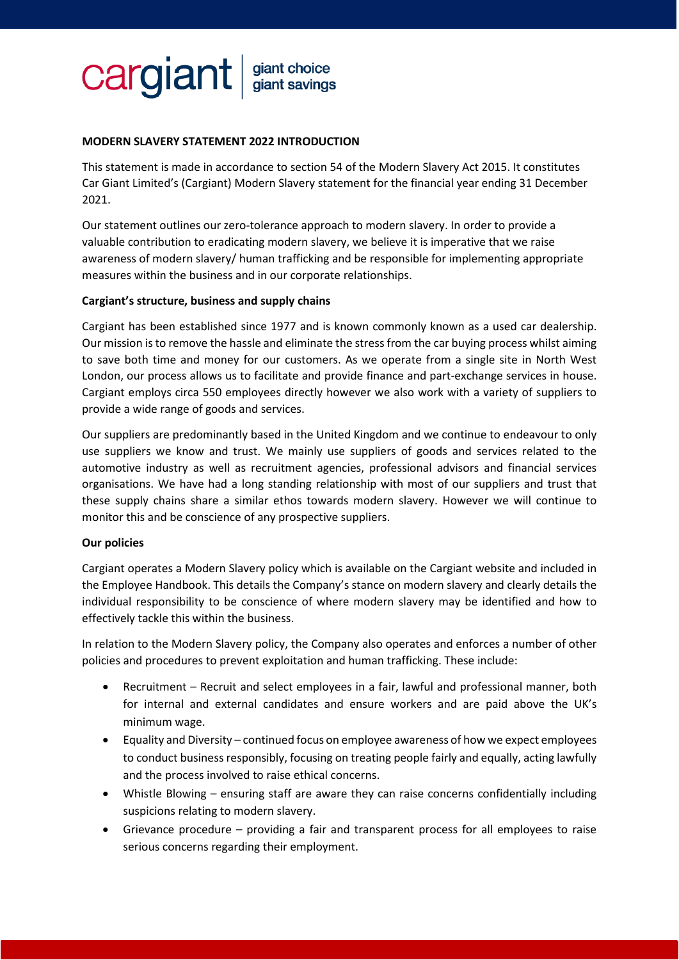# cargiant giant choice<br>giant savings

## **MODERN SLAVERY STATEMENT 2022 INTRODUCTION**

This statement is made in accordance to section 54 of the Modern Slavery Act 2015. It constitutes Car Giant Limited's (Cargiant) Modern Slavery statement for the financial year ending 31 December 2021.

Our statement outlines our zero-tolerance approach to modern slavery. In order to provide a valuable contribution to eradicating modern slavery, we believe it is imperative that we raise awareness of modern slavery/ human trafficking and be responsible for implementing appropriate measures within the business and in our corporate relationships.

### **Cargiant's structure, business and supply chains**

Cargiant has been established since 1977 and is known commonly known as a used car dealership. Our mission is to remove the hassle and eliminate the stress from the car buying process whilst aiming to save both time and money for our customers. As we operate from a single site in North West London, our process allows us to facilitate and provide finance and part-exchange services in house. Cargiant employs circa 550 employees directly however we also work with a variety of suppliers to provide a wide range of goods and services.

Our suppliers are predominantly based in the United Kingdom and we continue to endeavour to only use suppliers we know and trust. We mainly use suppliers of goods and services related to the automotive industry as well as recruitment agencies, professional advisors and financial services organisations. We have had a long standing relationship with most of our suppliers and trust that these supply chains share a similar ethos towards modern slavery. However we will continue to monitor this and be conscience of any prospective suppliers.

### **Our policies**

Cargiant operates a Modern Slavery policy which is available on the Cargiant website and included in the Employee Handbook. This details the Company's stance on modern slavery and clearly details the individual responsibility to be conscience of where modern slavery may be identified and how to effectively tackle this within the business.

In relation to the Modern Slavery policy, the Company also operates and enforces a number of other policies and procedures to prevent exploitation and human trafficking. These include:

- Recruitment Recruit and select employees in a fair, lawful and professional manner, both for internal and external candidates and ensure workers and are paid above the UK's minimum wage.
- Equality and Diversity continued focus on employee awareness of how we expect employees to conduct business responsibly, focusing on treating people fairly and equally, acting lawfully and the process involved to raise ethical concerns.
- Whistle Blowing ensuring staff are aware they can raise concerns confidentially including suspicions relating to modern slavery.
- Grievance procedure providing a fair and transparent process for all employees to raise serious concerns regarding their employment.